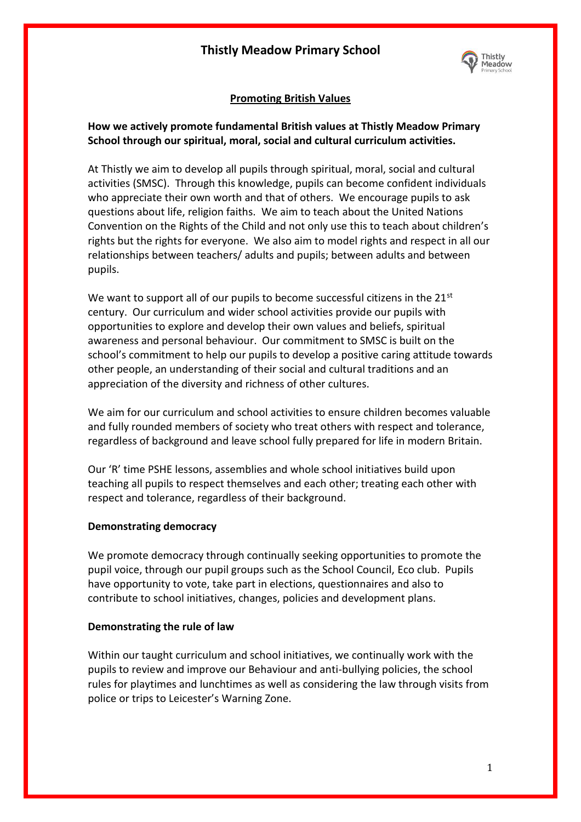# **Thistly Meadow Primary School**



## **Promoting British Values**

## **How we actively promote fundamental British values at Thistly Meadow Primary School through our spiritual, moral, social and cultural curriculum activities.**

At Thistly we aim to develop all pupils through spiritual, moral, social and cultural activities (SMSC). Through this knowledge, pupils can become confident individuals who appreciate their own worth and that of others. We encourage pupils to ask questions about life, religion faiths. We aim to teach about the United Nations Convention on the Rights of the Child and not only use this to teach about children's rights but the rights for everyone. We also aim to model rights and respect in all our relationships between teachers/ adults and pupils; between adults and between pupils.

We want to support all of our pupils to become successful citizens in the  $21^{st}$ century. Our curriculum and wider school activities provide our pupils with opportunities to explore and develop their own values and beliefs, spiritual awareness and personal behaviour. Our commitment to SMSC is built on the school's commitment to help our pupils to develop a positive caring attitude towards other people, an understanding of their social and cultural traditions and an appreciation of the diversity and richness of other cultures.

We aim for our curriculum and school activities to ensure children becomes valuable and fully rounded members of society who treat others with respect and tolerance, regardless of background and leave school fully prepared for life in modern Britain.

Our 'R' time PSHE lessons, assemblies and whole school initiatives build upon teaching all pupils to respect themselves and each other; treating each other with respect and tolerance, regardless of their background.

#### **Demonstrating democracy**

We promote democracy through continually seeking opportunities to promote the pupil voice, through our pupil groups such as the School Council, Eco club. Pupils have opportunity to vote, take part in elections, questionnaires and also to contribute to school initiatives, changes, policies and development plans.

### **Demonstrating the rule of law**

Within our taught curriculum and school initiatives, we continually work with the pupils to review and improve our Behaviour and anti-bullying policies, the school rules for playtimes and lunchtimes as well as considering the law through visits from police or trips to Leicester's Warning Zone.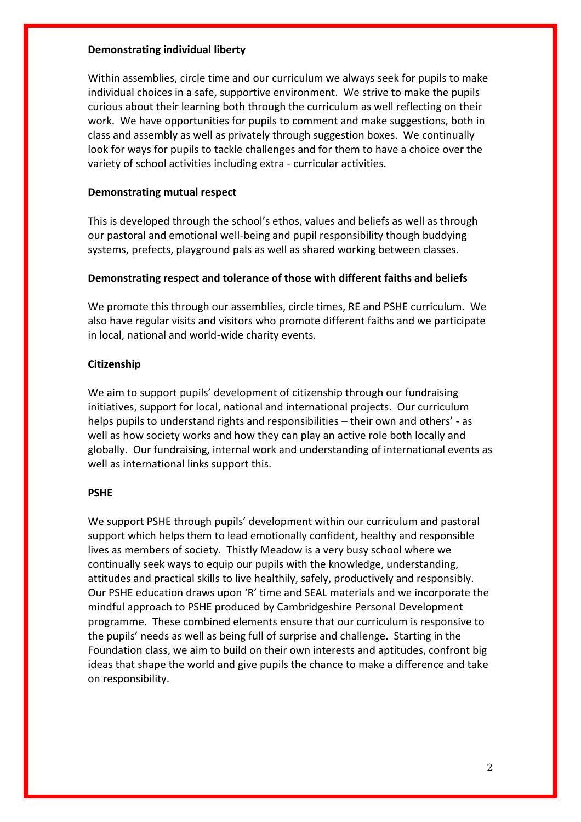### **Demonstrating individual liberty**

Within assemblies, circle time and our curriculum we always seek for pupils to make individual choices in a safe, supportive environment. We strive to make the pupils curious about their learning both through the curriculum as well reflecting on their work. We have opportunities for pupils to comment and make suggestions, both in class and assembly as well as privately through suggestion boxes. We continually look for ways for pupils to tackle challenges and for them to have a choice over the variety of school activities including extra - curricular activities.

### **Demonstrating mutual respect**

This is developed through the school's ethos, values and beliefs as well as through our pastoral and emotional well-being and pupil responsibility though buddying systems, prefects, playground pals as well as shared working between classes.

## **Demonstrating respect and tolerance of those with different faiths and beliefs**

We promote this through our assemblies, circle times, RE and PSHE curriculum. We also have regular visits and visitors who promote different faiths and we participate in local, national and world-wide charity events.

## **Citizenship**

We aim to support pupils' development of citizenship through our fundraising initiatives, support for local, national and international projects. Our curriculum helps pupils to understand rights and responsibilities – their own and others' - as well as how society works and how they can play an active role both locally and globally. Our fundraising, internal work and understanding of international events as well as international links support this.

### **PSHE**

We support PSHE through pupils' development within our curriculum and pastoral support which helps them to lead emotionally confident, healthy and responsible lives as members of society. Thistly Meadow is a very busy school where we continually seek ways to equip our pupils with the knowledge, understanding, attitudes and practical skills to live healthily, safely, productively and responsibly. Our PSHE education draws upon 'R' time and SEAL materials and we incorporate the mindful approach to PSHE produced by Cambridgeshire Personal Development programme. These combined elements ensure that our curriculum is responsive to the pupils' needs as well as being full of surprise and challenge. Starting in the Foundation class, we aim to build on their own interests and aptitudes, confront big ideas that shape the world and give pupils the chance to make a difference and take on responsibility.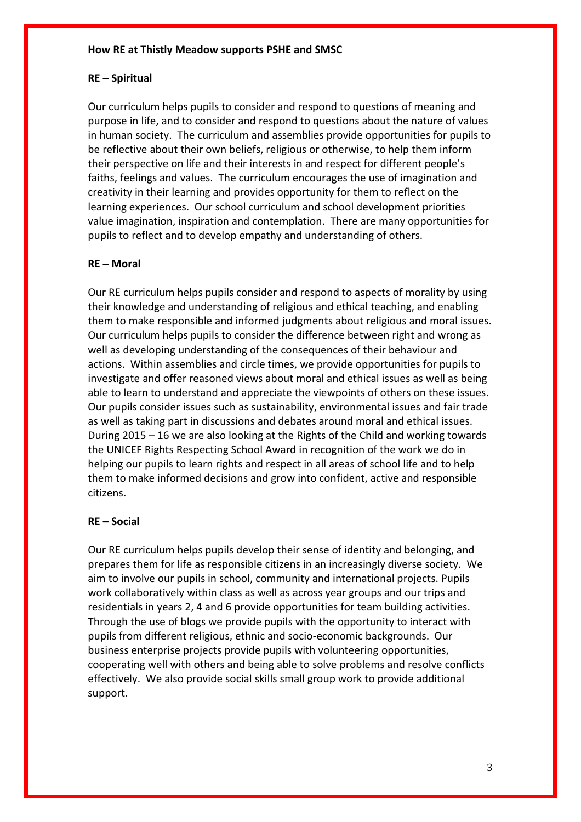#### **How RE at Thistly Meadow supports PSHE and SMSC**

### **RE – Spiritual**

Our curriculum helps pupils to consider and respond to questions of meaning and purpose in life, and to consider and respond to questions about the nature of values in human society. The curriculum and assemblies provide opportunities for pupils to be reflective about their own beliefs, religious or otherwise, to help them inform their perspective on life and their interests in and respect for different people's faiths, feelings and values. The curriculum encourages the use of imagination and creativity in their learning and provides opportunity for them to reflect on the learning experiences. Our school curriculum and school development priorities value imagination, inspiration and contemplation. There are many opportunities for pupils to reflect and to develop empathy and understanding of others.

#### **RE – Moral**

Our RE curriculum helps pupils consider and respond to aspects of morality by using their knowledge and understanding of religious and ethical teaching, and enabling them to make responsible and informed judgments about religious and moral issues. Our curriculum helps pupils to consider the difference between right and wrong as well as developing understanding of the consequences of their behaviour and actions. Within assemblies and circle times, we provide opportunities for pupils to investigate and offer reasoned views about moral and ethical issues as well as being able to learn to understand and appreciate the viewpoints of others on these issues. Our pupils consider issues such as sustainability, environmental issues and fair trade as well as taking part in discussions and debates around moral and ethical issues. During 2015 – 16 we are also looking at the Rights of the Child and working towards the UNICEF Rights Respecting School Award in recognition of the work we do in helping our pupils to learn rights and respect in all areas of school life and to help them to make informed decisions and grow into confident, active and responsible citizens.

#### **RE – Social**

Our RE curriculum helps pupils develop their sense of identity and belonging, and prepares them for life as responsible citizens in an increasingly diverse society. We aim to involve our pupils in school, community and international projects. Pupils work collaboratively within class as well as across year groups and our trips and residentials in years 2, 4 and 6 provide opportunities for team building activities. Through the use of blogs we provide pupils with the opportunity to interact with pupils from different religious, ethnic and socio-economic backgrounds. Our business enterprise projects provide pupils with volunteering opportunities, cooperating well with others and being able to solve problems and resolve conflicts effectively. We also provide social skills small group work to provide additional support.